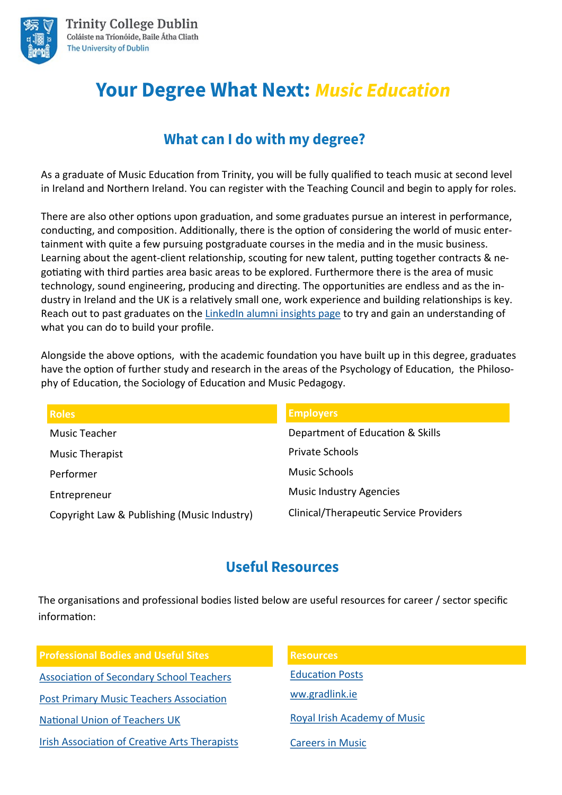

# **Your Degree What Next: Music Education**

## What can I do with my degree?

As a graduate of Music Education from Trinity, you will be fully qualified to teach music at second level in Ireland and Northern Ireland. You can register with the Teaching Council and begin to apply for roles.

There are also other options upon graduation, and some graduates pursue an interest in performance, conducting, and composition. Additionally, there is the option of considering the world of music entertainment with quite a few pursuing postgraduate courses in the media and in the music business. Learning about the agent-client relationship, scouting for new talent, putting together contracts & negotiating with third parties area basic areas to be explored. Furthermore there is the area of music technology, sound engineering, producing and directing. The opportunities are endless and as the industry in Ireland and the UK is a relatively small one, work experience and building relationships is key. Reach out to past graduates on the [LinkedIn alumni insights page](https://www.linkedin.com/school/trinity-college-dublin/alumni/) to try and gain an understanding of what you can do to build your profile.

Alongside the above options, with the academic foundation you have built up in this degree, graduates have the option of further study and research in the areas of the Psychology of Education, the Philosophy of Education, the Sociology of Education and Music Pedagogy.

| <b>Roles</b>                                | <b>Employers</b>                              |
|---------------------------------------------|-----------------------------------------------|
| Music Teacher                               | Department of Education & Skills              |
| <b>Music Therapist</b>                      | <b>Private Schools</b>                        |
| Performer                                   | Music Schools                                 |
| Entrepreneur                                | <b>Music Industry Agencies</b>                |
| Copyright Law & Publishing (Music Industry) | <b>Clinical/Therapeutic Service Providers</b> |

## **Useful Resources**

The organisations and professional bodies listed below are useful resources for career / sector specific information:

| <b>Professional Bodies and Useful Sites</b>          | <b>Resources</b>             |
|------------------------------------------------------|------------------------------|
| <b>Association of Secondary School Teachers</b>      | <b>Education Posts</b>       |
| <b>Post Primary Music Teachers Association</b>       | ww.gradlink.ie               |
| <b>National Union of Teachers UK</b>                 | Royal Irish Academy of Music |
| <b>Irish Association of Creative Arts Therapists</b> | <b>Careers in Music</b>      |